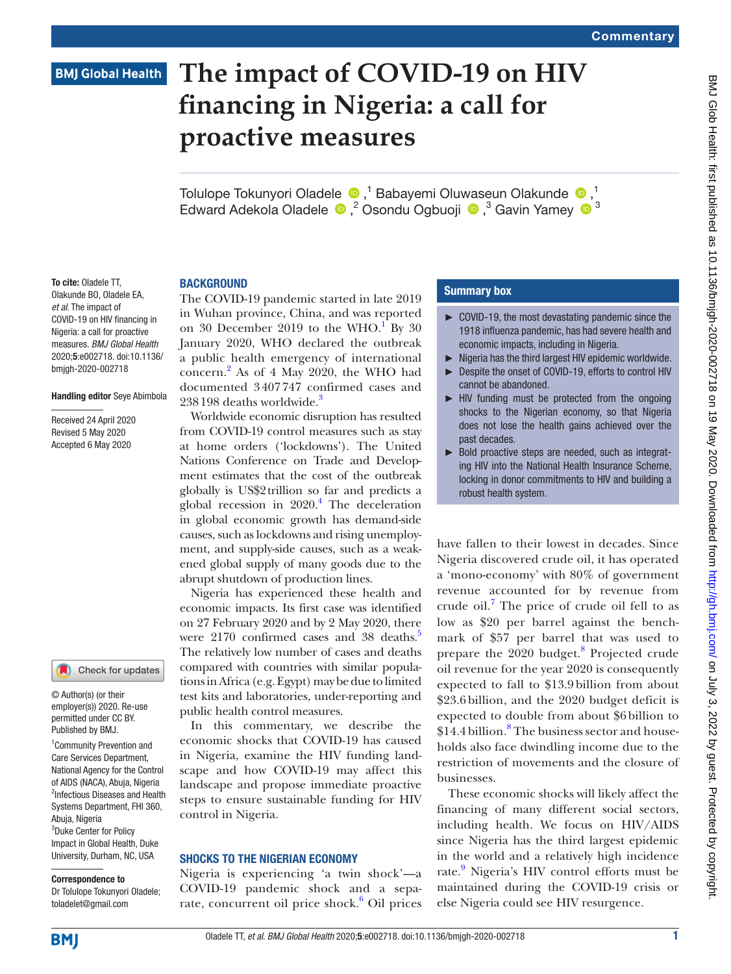# **BMJ Global Health**

# **The impact of COVID-19 on HIV financing in Nigeria: a call for proactive measures**

TolulopeTokunyori Oladele <sup>®</sup>,<sup>1</sup> Babayemi Oluwaseun Olakunde <sup>®</sup>,<sup>1</sup> Edward Adekola Oladele <sup>®</sup>,<sup>2</sup> Osondu Ogbuoji <sup>®</sup>,<sup>3</sup> Gavin Yamey <sup>® 3</sup>

To cite: Oladele TT, Olakunde BO, Oladele EA, *et al*. The impact of COVID-19 on HIV financing in Nigeria: a call for proactive measures. *BMJ Global Health* 2020;5:e002718. doi:10.1136/ bmjgh-2020-002718

#### Handling editor Seye Abimbola

Received 24 April 2020 Revised 5 May 2020 Accepted 6 May 2020

# Check for updates

© Author(s) (or their employer(s)) 2020. Re-use permitted under CC BY. Published by BMJ.

1 Community Prevention and Care Services Department, National Agency for the Control of AIDS (NACA), Abuja, Nigeria <sup>2</sup>Infectious Diseases and Health Systems Department, FHI 360, Abuja, Nigeria <sup>3</sup>Duke Center for Policy Impact in Global Health, Duke University, Durham, NC, USA

#### Correspondence to

Dr Tolulope Tokunyori Oladele; toladelet@gmail.com

# **BACKGROUND**

The COVID-19 pandemic started in late 2019 in Wuhan province, China, and was reported on 30 December 20[1](#page-3-0)9 to the WHO.<sup>1</sup> By 30 January 2020, WHO declared the outbreak a public health emergency of international concern.[2](#page-3-1) As of 4 May 2020, the WHO had documented 3407747 confirmed cases and 2[3](#page-3-2)8198 deaths worldwide.<sup>3</sup>

Worldwide economic disruption has resulted from COVID-19 control measures such as stay at home orders ('lockdowns'). The United Nations Conference on Trade and Development estimates that the cost of the outbreak globally is US\$2trillion so far and predicts a global recession in  $2020$ .<sup>4</sup> The deceleration in global economic growth has demand-side causes, such as lockdowns and rising unemployment, and supply-side causes, such as a weakened global supply of many goods due to the abrupt shutdown of production lines.

Nigeria has experienced these health and economic impacts. Its first case was identified on 27 February 2020 and by 2 May 2020, there were 2170 confirmed cases and 38 deaths.<sup>5</sup> The relatively low number of cases and deaths compared with countries with similar populations in Africa (e.g. Egypt) may be due to limited test kits and laboratories, under-reporting and public health control measures.

In this commentary, we describe the economic shocks that COVID-19 has caused in Nigeria, examine the HIV funding landscape and how COVID-19 may affect this landscape and propose immediate proactive steps to ensure sustainable funding for HIV control in Nigeria.

#### Shocks to the Nigerian economy

Nigeria is experiencing 'a twin shock'—a COVID-19 pandemic shock and a sepa-rate, concurrent oil price shock.<sup>[6](#page-3-5)</sup> Oil prices

## Summary box

- ► COVID-19, the most devastating pandemic since the 1918 influenza pandemic, has had severe health and economic impacts, including in Nigeria.
- ► Nigeria has the third largest HIV epidemic worldwide.
- ► Despite the onset of COVID-19, efforts to control HIV cannot be abandoned.
- ► HIV funding must be protected from the ongoing shocks to the Nigerian economy, so that Nigeria does not lose the health gains achieved over the past decades.
- ► Bold proactive steps are needed, such as integrating HIV into the National Health Insurance Scheme, locking in donor commitments to HIV and building a robust health system.

have fallen to their lowest in decades. Since Nigeria discovered crude oil, it has operated a 'mono-economy' with 80% of government revenue accounted for by revenue from crude oil.<sup>[7](#page-3-6)</sup> The price of crude oil fell to as low as \$20 per barrel against the benchmark of \$57 per barrel that was used to prepare the 2020 budget.<sup>[8](#page-3-7)</sup> Projected crude oil revenue for the year 2020 is consequently expected to fall to \$13.9 billion from about \$23.6 billion, and the 2020 budget deficit is expected to double from about \$6 billion to \$14.4 billion.<sup>[8](#page-3-7)</sup> The business sector and households also face dwindling income due to the restriction of movements and the closure of businesses.

These economic shocks will likely affect the financing of many different social sectors, including health. We focus on HIV/AIDS since Nigeria has the third largest epidemic in the world and a relatively high incidence rate.<sup>[9](#page-3-8)</sup> Nigeria's HIV control efforts must be maintained during the COVID-19 crisis or else Nigeria could see HIV resurgence.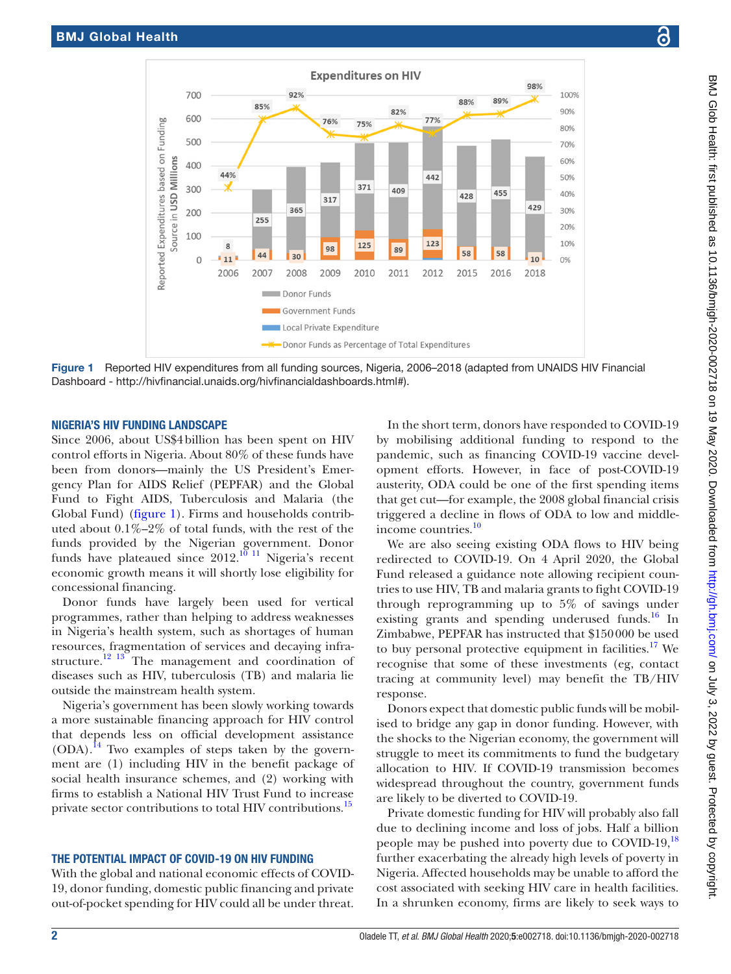

Figure 1 Reported HIV expenditures from all funding sources, Nigeria, 2006–2018 (adapted from UNAIDS HIV Financial Dashboard - [http://hivfinancial.unaids.org/hivfinancialdashboards.html#](http://hivfinancial.unaids.org/hivfinancialdashboards.html)).

#### Nigeria's HIV funding landscape

Since 2006, about US\$4billion has been spent on HIV control efforts in Nigeria. About 80% of these funds have been from donors—mainly the US President's Emergency Plan for AIDS Relief (PEPFAR) and the Global Fund to Fight AIDS, Tuberculosis and Malaria (the Global Fund) [\(figure](#page-1-0) 1). Firms and households contributed about 0.1%–2% of total funds, with the rest of the funds provided by the Nigerian government. Donor funds have plateaued since  $2012$ .<sup>[10 11](#page-3-9)</sup> Nigeria's recent economic growth means it will shortly lose eligibility for concessional financing.

Donor funds have largely been used for vertical programmes, rather than helping to address weaknesses in Nigeria's health system, such as shortages of human resources, fragmentation of services and decaying infrastructure.<sup>12 13</sup> The management and coordination of diseases such as HIV, tuberculosis (TB) and malaria lie outside the mainstream health system.

Nigeria's government has been slowly working towards a more sustainable financing approach for HIV control that depends less on official development assistance  $(ODA).$ <sup>[14](#page-3-11)</sup> Two examples of steps taken by the government are (1) including HIV in the benefit package of social health insurance schemes, and (2) working with firms to establish a National HIV Trust Fund to increase private sector contributions to total HIV contributions.<sup>15</sup>

# The potential impact of COVID-19 on HIV funding

With the global and national economic effects of COVID-19, donor funding, domestic public financing and private out-of-pocket spending for HIV could all be under threat.

<span id="page-1-0"></span>In the short term, donors have responded to COVID-19 by mobilising additional funding to respond to the pandemic, such as financing COVID-19 vaccine development efforts. However, in face of post-COVID-19 austerity, ODA could be one of the first spending items that get cut—for example, the 2008 global financial crisis triggered a decline in flows of ODA to low and middleincome countries.<sup>10</sup>

We are also seeing existing ODA flows to HIV being redirected to COVID-19. On 4 April 2020, the Global Fund released a guidance note allowing recipient countries to use HIV, TB and malaria grants to fight COVID-19 through reprogramming up to 5% of savings under existing grants and spending underused funds.<sup>16</sup> In Zimbabwe, PEPFAR has instructed that \$150000 be used to buy personal protective equipment in facilities.<sup>17</sup> We recognise that some of these investments (eg, contact tracing at community level) may benefit the TB/HIV response.

Donors expect that domestic public funds will be mobilised to bridge any gap in donor funding. However, with the shocks to the Nigerian economy, the government will struggle to meet its commitments to fund the budgetary allocation to HIV. If COVID-19 transmission becomes widespread throughout the country, government funds are likely to be diverted to COVID-19.

Private domestic funding for HIV will probably also fall due to declining income and loss of jobs. Half a billion people may be pushed into poverty due to COVID-19,<sup>[18](#page-3-15)</sup> further exacerbating the already high levels of poverty in Nigeria. Affected households may be unable to afford the cost associated with seeking HIV care in health facilities. In a shrunken economy, firms are likely to seek ways to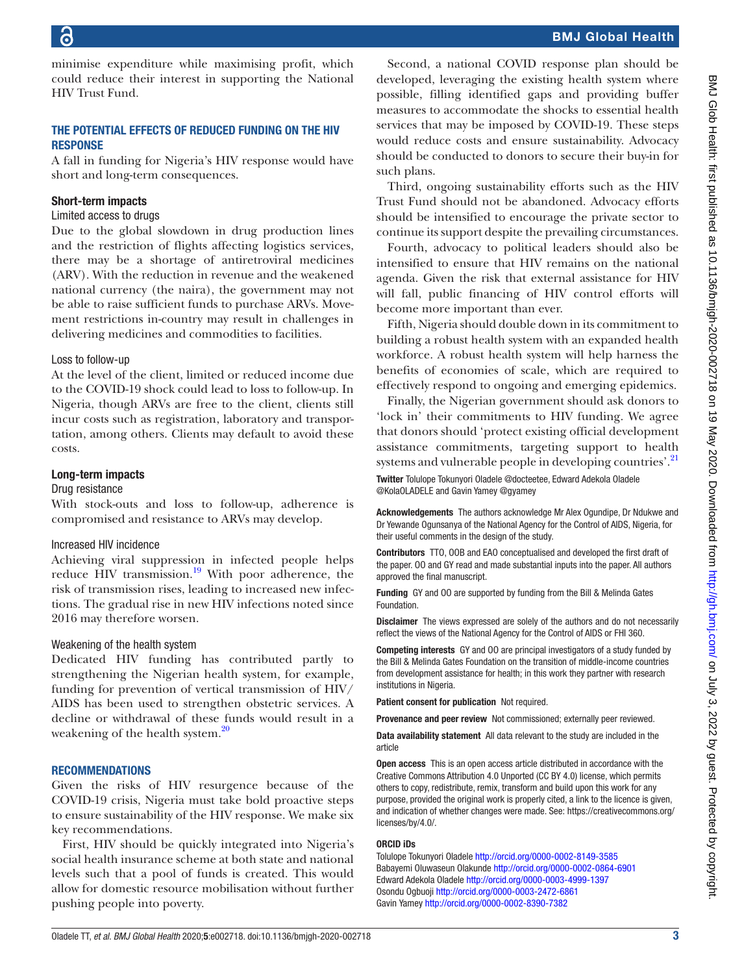minimise expenditure while maximising profit, which could reduce their interest in supporting the National HIV Trust Fund.

# The potential effects of reduced funding on the HIV **RESPONSE**

A fall in funding for Nigeria's HIV response would have short and long-term consequences.

# Short-term impacts

#### Limited access to drugs

Due to the global slowdown in drug production lines and the restriction of flights affecting logistics services, there may be a shortage of antiretroviral medicines (ARV). With the reduction in revenue and the weakened national currency (the naira), the government may not be able to raise sufficient funds to purchase ARVs. Movement restrictions in-country may result in challenges in delivering medicines and commodities to facilities.

# Loss to follow-up

At the level of the client, limited or reduced income due to the COVID-19 shock could lead to loss to follow-up. In Nigeria, though ARVs are free to the client, clients still incur costs such as registration, laboratory and transportation, among others. Clients may default to avoid these costs.

# Long-term impacts

# Drug resistance

With stock-outs and loss to follow-up, adherence is compromised and resistance to ARVs may develop.

# Increased HIV incidence

Achieving viral suppression in infected people helps reduce HIV transmission.<sup>19</sup> With poor adherence, the risk of transmission rises, leading to increased new infections. The gradual rise in new HIV infections noted since 2016 may therefore worsen.

# Weakening of the health system

Dedicated HIV funding has contributed partly to strengthening the Nigerian health system, for example, funding for prevention of vertical transmission of HIV/ AIDS has been used to strengthen obstetric services. A decline or withdrawal of these funds would result in a weakening of the health system.<sup>[20](#page-3-17)</sup>

# **RECOMMENDATIONS**

Given the risks of HIV resurgence because of the COVID-19 crisis, Nigeria must take bold proactive steps to ensure sustainability of the HIV response. We make six key recommendations.

First, HIV should be quickly integrated into Nigeria's social health insurance scheme at both state and national levels such that a pool of funds is created. This would allow for domestic resource mobilisation without further pushing people into poverty.

Second, a national COVID response plan should be developed, leveraging the existing health system where possible, filling identified gaps and providing buffer measures to accommodate the shocks to essential health services that may be imposed by COVID-19. These steps would reduce costs and ensure sustainability. Advocacy should be conducted to donors to secure their buy-in for such plans.

Third, ongoing sustainability efforts such as the HIV Trust Fund should not be abandoned. Advocacy efforts should be intensified to encourage the private sector to continue its support despite the prevailing circumstances.

Fourth, advocacy to political leaders should also be intensified to ensure that HIV remains on the national agenda. Given the risk that external assistance for HIV will fall, public financing of HIV control efforts will become more important than ever.

Fifth, Nigeria should double down in its commitment to building a robust health system with an expanded health workforce. A robust health system will help harness the benefits of economies of scale, which are required to effectively respond to ongoing and emerging epidemics.

Finally, the Nigerian government should ask donors to 'lock in' their commitments to HIV funding. We agree that donors should 'protect existing official development assistance commitments, targeting support to health systems and vulnerable people in developing countries'.<sup>[21](#page-3-18)</sup> Twitter Tolulope Tokunyori Oladele [@docteetee,](https://twitter.com/docteetee) Edward Adekola Oladele [@KolaOLADELE](https://twitter.com/KolaOLADELE) and Gavin Yamey [@gyamey](https://twitter.com/gyamey)

Acknowledgements The authors acknowledge Mr Alex Ogundipe, Dr Ndukwe and Dr Yewande Ogunsanya of the National Agency for the Control of AIDS, Nigeria, for their useful comments in the design of the study.

Contributors TTO, OOB and EAO conceptualised and developed the first draft of the paper. OO and GY read and made substantial inputs into the paper. All authors approved the final manuscript.

Funding GY and OO are supported by funding from the Bill & Melinda Gates Foundation.

Disclaimer The views expressed are solely of the authors and do not necessarily reflect the views of the National Agency for the Control of AIDS or FHI 360.

Competing interests GY and OO are principal investigators of a study funded by the Bill & Melinda Gates Foundation on the transition of middle-income countries from development assistance for health; in this work they partner with research institutions in Nigeria.

Patient consent for publication Not required.

Provenance and peer review Not commissioned; externally peer reviewed.

Data availability statement All data relevant to the study are included in the article

Open access This is an open access article distributed in accordance with the Creative Commons Attribution 4.0 Unported (CC BY 4.0) license, which permits others to copy, redistribute, remix, transform and build upon this work for any purpose, provided the original work is properly cited, a link to the licence is given, and indication of whether changes were made. See: [https://creativecommons.org/](https://creativecommons.org/licenses/by/4.0/) [licenses/by/4.0/](https://creativecommons.org/licenses/by/4.0/).

#### ORCID iDs

Tolulope Tokunyori Oladele<http://orcid.org/0000-0002-8149-3585> Babayemi Oluwaseun Olakunde<http://orcid.org/0000-0002-0864-6901> Edward Adekola Oladele<http://orcid.org/0000-0003-4999-1397> Osondu Ogbuoji<http://orcid.org/0000-0003-2472-6861> Gavin Yamey<http://orcid.org/0000-0002-8390-7382>